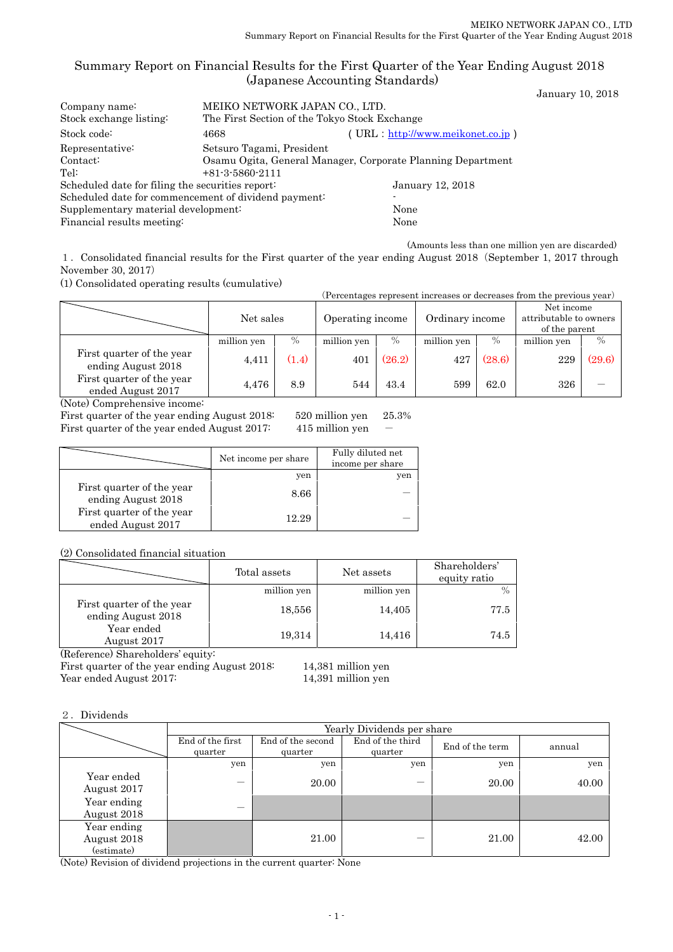### Summary Report on Financial Results for the First Quarter of the Year Ending August 2018 (Japanese Accounting Standards)

January 10, 2018

| Company name:                                        | MEIKO NETWORK JAPAN CO., LTD.                               |                                   |  |  |  |
|------------------------------------------------------|-------------------------------------------------------------|-----------------------------------|--|--|--|
| Stock exchange listing:                              | The First Section of the Tokyo Stock Exchange               |                                   |  |  |  |
| Stock code:                                          | 4668                                                        | $(URL http://www.meikonet.co.jp)$ |  |  |  |
| Representative:                                      | Setsuro Tagami, President                                   |                                   |  |  |  |
| Contact:                                             | Osamu Ogita, General Manager, Corporate Planning Department |                                   |  |  |  |
| Tel:                                                 | $+81-3-5860-2111$                                           |                                   |  |  |  |
| Scheduled date for filing the securities report:     |                                                             | January 12, 2018                  |  |  |  |
| Scheduled date for commencement of dividend payment: |                                                             |                                   |  |  |  |
| Supplementary material development:                  | None                                                        |                                   |  |  |  |
| Financial results meeting:                           | None                                                        |                                   |  |  |  |
|                                                      |                                                             |                                   |  |  |  |

(Amounts less than one million yen are discarded)

1.Consolidated financial results for the First quarter of the year ending August 2018(September 1, 2017 through November 30, 2017)

(1) Consolidated operating results (cumulative)

| (Percentages represent increases or decreases from the previous year) |             |       |             |                                     |             |        |                                                       |        |
|-----------------------------------------------------------------------|-------------|-------|-------------|-------------------------------------|-------------|--------|-------------------------------------------------------|--------|
|                                                                       | Net sales   |       |             | Operating income<br>Ordinary income |             |        | Net income<br>attributable to owners<br>of the parent |        |
|                                                                       | million yen | $\%$  | million yen | $\%$                                | million yen | $\%$   | million yen                                           | $\%$   |
| First quarter of the year<br>ending August 2018                       | 4,411       | (1.4) | 401         | (26.2)                              | 427         | (28.6) | 229                                                   | (29.6) |
| First quarter of the year<br>ended August 2017                        | 4,476       | 8.9   | 544         | 43.4                                | 599         | 62.0   | 326                                                   |        |
|                                                                       |             |       |             |                                     |             |        |                                                       |        |

(Note) Comprehensive income:

First quarter of the year ending August 2018: 520 million yen 25.3% First quarter of the year ended August 2017:  $415$  million yen -

|                                                 | Net income per share | Fully diluted net<br>income per share |
|-------------------------------------------------|----------------------|---------------------------------------|
|                                                 | yen                  | yen                                   |
| First quarter of the year<br>ending August 2018 | 8.66                 |                                       |
| First quarter of the year<br>ended August 2017  | 12.29                |                                       |

(2) Consolidated financial situation

|                                                 | Total assets | Net assets  | Shareholders'<br>equity ratio |
|-------------------------------------------------|--------------|-------------|-------------------------------|
|                                                 | million yen  | million yen |                               |
| First quarter of the year<br>ending August 2018 | 18,556       | 14,405      | 77.5                          |
| Year ended<br>August 2017                       | 19,314       | 14,416      | 74.5                          |

(Reference) Shareholders' equity:

First quarter of the year ending August 2018: 14,381 million yen Year ended August 2017: 14,391 million yen

### 2.Dividends

|                                          | Yearly Dividends per share  |                              |                             |                 |        |  |
|------------------------------------------|-----------------------------|------------------------------|-----------------------------|-----------------|--------|--|
|                                          | End of the first<br>quarter | End of the second<br>quarter | End of the third<br>quarter | End of the term | annual |  |
|                                          | yen                         | yen                          | yen                         | yen             | yen    |  |
| Year ended<br>August 2017                |                             | 20.00                        |                             | 20.00           | 40.00  |  |
| Year ending<br>August 2018               |                             |                              |                             |                 |        |  |
| Year ending<br>August 2018<br>(estimate) |                             | 21.00                        |                             | 21.00           | 42.00  |  |

(Note) Revision of dividend projections in the current quarter: None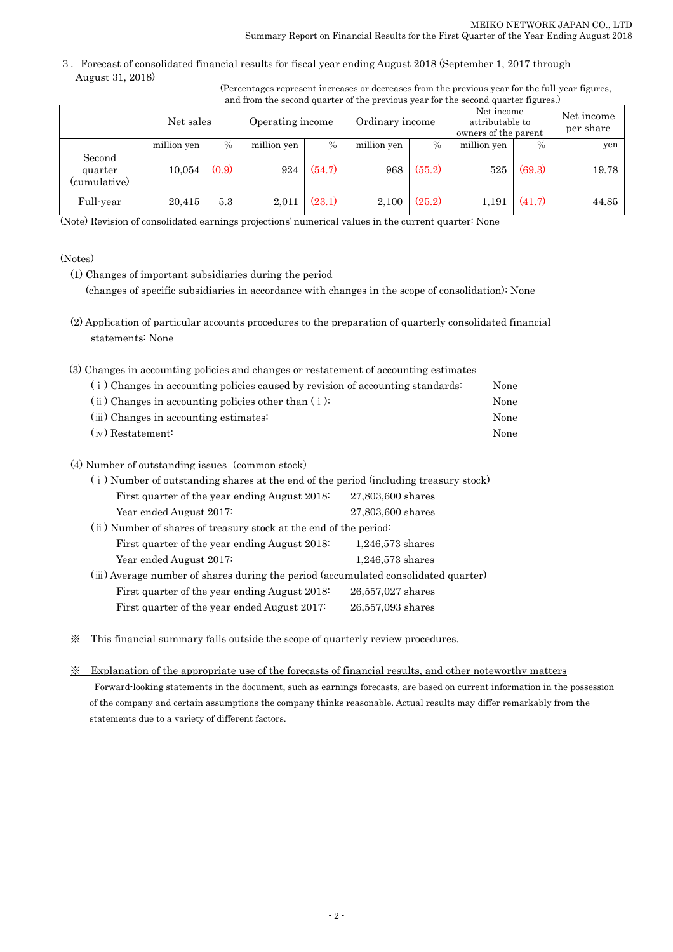3.Forecast of consolidated financial results for fiscal year ending August 2018 (September 1, 2017 through August 31, 2018)

| (Percentages represent increases or decreases from the previous year for the full-year figures, |  |  |  |
|-------------------------------------------------------------------------------------------------|--|--|--|
| and from the second quarter of the previous year for the second quarter figures.)               |  |  |  |

| and home one second quarter or the previous year for the second quarter hydros, |             |       |                  |        |                 |        |                                                       |        |                         |
|---------------------------------------------------------------------------------|-------------|-------|------------------|--------|-----------------|--------|-------------------------------------------------------|--------|-------------------------|
|                                                                                 | Net sales   |       | Operating income |        | Ordinary income |        | Net income<br>attributable to<br>owners of the parent |        | Net income<br>per share |
|                                                                                 | million yen | $\%$  | million yen      | $\%$   | million yen     | $\%$   | million yen                                           | $\%$   | yen                     |
| Second<br>quarter<br>(cumulative)                                               | 10,054      | (0.9) | 924              | (54.7) | 968             | (55.2) | 525                                                   | (69.3) | 19.78                   |
| Full-year                                                                       | 20,415      | 5.3   | 2,011            | (23.1) | 2,100           | (25.2) | 1,191                                                 | (41.7) | 44.85                   |

(Note) Revision of consolidated earnings projections' numerical values in the current quarter: None

### (Notes)

- (1) Changes of important subsidiaries during the period (changes of specific subsidiaries in accordance with changes in the scope of consolidation): None
- (2) Application of particular accounts procedures to the preparation of quarterly consolidated financial statements: None

| (3) Changes in accounting policies and changes or restatement of accounting estimates |      |
|---------------------------------------------------------------------------------------|------|
| (i) Changes in accounting policies caused by revision of accounting standards:        | None |
| $(i)$ Changes in accounting policies other than $(i)$ :                               | None |
| (iii) Changes in accounting estimates:                                                | None |
| $(iv)$ Restatement:                                                                   | None |

### (4) Number of outstanding issues (common stock)

| (i) Number of outstanding shares at the end of the period (including treasury stock) |                    |  |  |  |  |
|--------------------------------------------------------------------------------------|--------------------|--|--|--|--|
| First quarter of the year ending August 2018.                                        | 27,803,600 shares  |  |  |  |  |
| Year ended August 2017:                                                              | 27,803,600 shares  |  |  |  |  |
| (ii) Number of shares of treasury stock at the end of the period:                    |                    |  |  |  |  |
| First quarter of the year ending August 2018:                                        | $1,246,573$ shares |  |  |  |  |
| Year ended August 2017:                                                              | $1,246,573$ shares |  |  |  |  |
| (iii) Average number of shares during the period (accumulated consolidated quarter)  |                    |  |  |  |  |
| First quarter of the year ending August 2018:                                        | 26,557,027 shares  |  |  |  |  |
| First quarter of the year ended August 2017:                                         | 26,557,093 shares  |  |  |  |  |
|                                                                                      |                    |  |  |  |  |

※ This financial summary falls outside the scope of quarterly review procedures.

## ※ Explanation of the appropriate use of the forecasts of financial results, and other noteworthy matters Forward-looking statements in the document, such as earnings forecasts, are based on current information in the possession of the company and certain assumptions the company thinks reasonable. Actual results may differ remarkably from the statements due to a variety of different factors.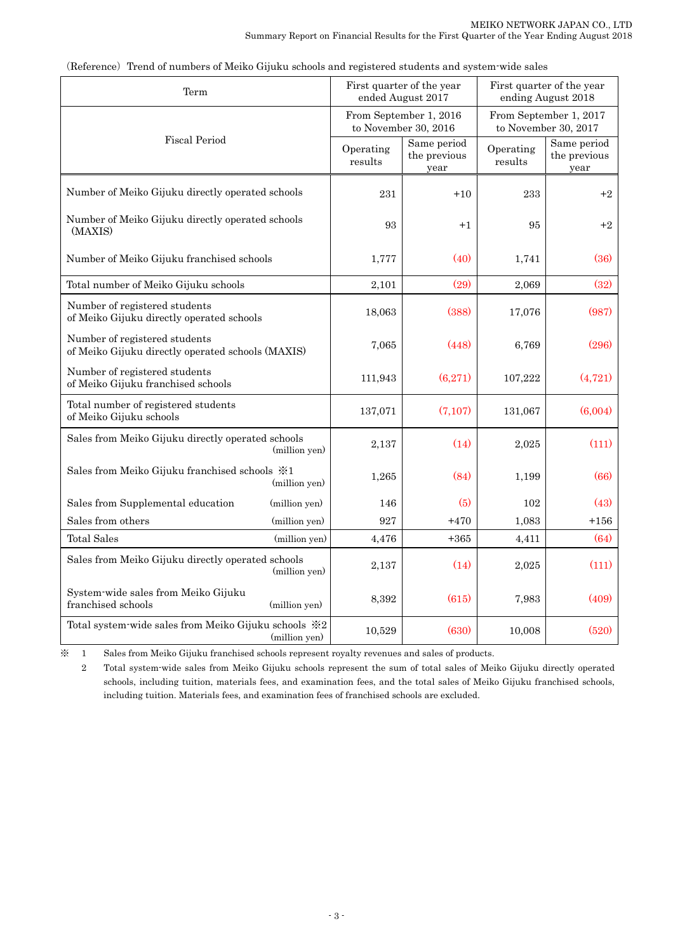| Term                                                                               |               |                                                                                                  | First quarter of the year<br>ended August 2017 |                      | First quarter of the year<br>ending August 2018 |  |
|------------------------------------------------------------------------------------|---------------|--------------------------------------------------------------------------------------------------|------------------------------------------------|----------------------|-------------------------------------------------|--|
| <b>Fiscal Period</b>                                                               |               | From September 1, 2016<br>From September 1, 2017<br>to November 30, 2016<br>to November 30, 2017 |                                                |                      |                                                 |  |
|                                                                                    |               | Operating<br>results                                                                             | Same period<br>the previous<br>year            | Operating<br>results | Same period<br>the previous<br>year             |  |
| Number of Meiko Gijuku directly operated schools                                   |               | 231                                                                                              | $+10$                                          | 233                  | $+2$                                            |  |
| Number of Meiko Gijuku directly operated schools<br>(MAXIS)                        |               | 93                                                                                               | $+1$                                           | 95                   | $+2$                                            |  |
| Number of Meiko Gijuku franchised schools                                          |               | 1,777                                                                                            | (40)                                           | 1,741                | (36)                                            |  |
| Total number of Meiko Gijuku schools                                               |               | 2,101                                                                                            | (29)                                           | 2,069                | (32)                                            |  |
| Number of registered students<br>of Meiko Gijuku directly operated schools         |               | 18,063                                                                                           | (388)                                          | 17,076               | (987)                                           |  |
| Number of registered students<br>of Meiko Gijuku directly operated schools (MAXIS) |               | 7,065                                                                                            | (448)                                          | 6,769                | (296)                                           |  |
| Number of registered students<br>of Meiko Gijuku franchised schools                |               | 111,943                                                                                          | (6,271)                                        | 107,222              | (4, 721)                                        |  |
| Total number of registered students<br>of Meiko Gijuku schools                     |               | 137,071                                                                                          | (7, 107)                                       | 131,067              | (6,004)                                         |  |
| Sales from Meiko Gijuku directly operated schools                                  | (million yen) | 2,137                                                                                            | (14)                                           | 2,025                | (111)                                           |  |
| Sales from Meiko Gijuku franchised schools $\divideontimes 1$                      | (million yen) | 1,265                                                                                            | (84)                                           | 1,199                | (66)                                            |  |
| Sales from Supplemental education                                                  | (million yen) | 146                                                                                              | (5)                                            | 102                  | (43)                                            |  |
| Sales from others                                                                  | (million yen) | 927                                                                                              | $+470$                                         | 1,083                | $+156$                                          |  |
| <b>Total Sales</b>                                                                 | (million yen) | 4,476                                                                                            | $+365$                                         | 4,411                | (64)                                            |  |
| Sales from Meiko Gijuku directly operated schools                                  | (million yen) | 2,137                                                                                            | (14)                                           | 2,025                | (111)                                           |  |
| System-wide sales from Meiko Gijuku<br>franchised schools                          | (million yen) | 8.392                                                                                            | (615)                                          | 7,983                | (409)                                           |  |
| Total system-wide sales from Meiko Gijuku schools ※2                               | (million yen) | 10,529                                                                                           | (630)                                          | 10,008               | (520)                                           |  |

(Reference) Trend of numbers of Meiko Gijuku schools and registered students and system-wide sales

※ 1 Sales from Meiko Gijuku franchised schools represent royalty revenues and sales of products.

2 Total system-wide sales from Meiko Gijuku schools represent the sum of total sales of Meiko Gijuku directly operated schools, including tuition, materials fees, and examination fees, and the total sales of Meiko Gijuku franchised schools, including tuition. Materials fees, and examination fees of franchised schools are excluded.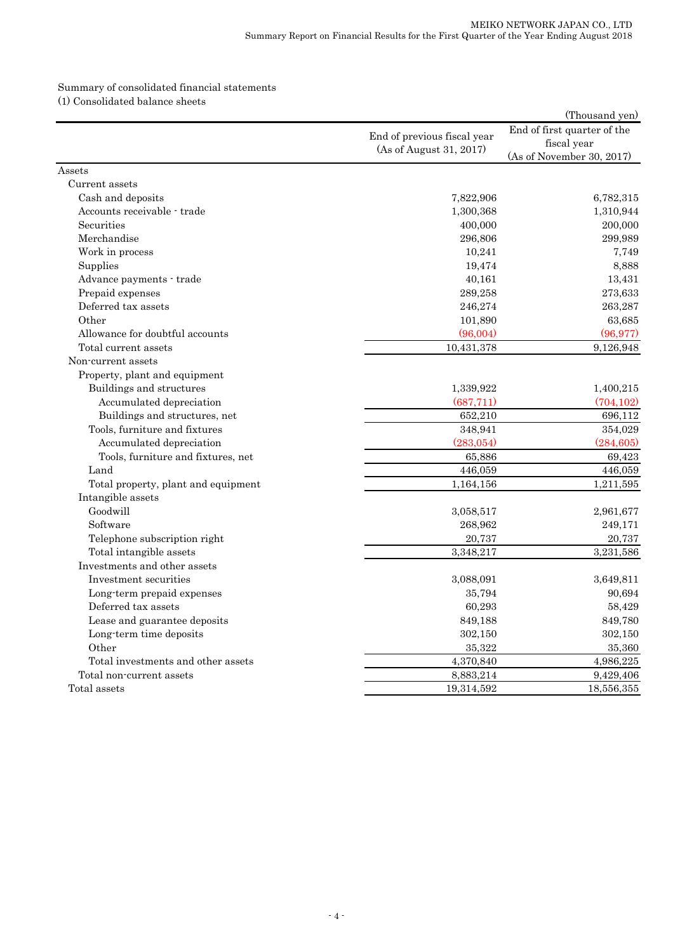### Summary of consolidated financial statements (1) Consolidated balance sheets

|                                     |                             | (Thousand yen)              |
|-------------------------------------|-----------------------------|-----------------------------|
|                                     | End of previous fiscal year | End of first quarter of the |
|                                     | (As of August 31, 2017)     | fiscal year                 |
|                                     |                             | (As of November 30, 2017)   |
| Assets                              |                             |                             |
| Current assets                      |                             |                             |
| Cash and deposits                   | 7,822,906                   | 6,782,315                   |
| Accounts receivable - trade         | 1,300,368                   | 1,310,944                   |
| Securities                          | 400,000                     | 200,000                     |
| Merchandise                         | 296,806                     | 299,989                     |
| Work in process                     | 10,241                      | 7,749                       |
| Supplies                            | 19,474                      | 8,888                       |
| Advance payments - trade            | 40,161                      | 13,431                      |
| Prepaid expenses                    | 289,258                     | 273,633                     |
| Deferred tax assets                 | 246,274                     | 263,287                     |
| Other                               | 101,890                     | 63,685                      |
| Allowance for doubtful accounts     | (96,004)                    | (96, 977)                   |
| Total current assets                | 10,431,378                  | 9,126,948                   |
| Non-current assets                  |                             |                             |
| Property, plant and equipment       |                             |                             |
| Buildings and structures            | 1,339,922                   | 1,400,215                   |
| Accumulated depreciation            | (687,711)                   | (704, 102)                  |
| Buildings and structures, net       | 652,210                     | 696,112                     |
| Tools, furniture and fixtures       | 348,941                     | 354,029                     |
| Accumulated depreciation            | (283,054)                   | (284, 605)                  |
| Tools, furniture and fixtures, net  | 65,886                      | 69,423                      |
| Land                                | 446,059                     | 446,059                     |
| Total property, plant and equipment | 1,164,156                   | 1,211,595                   |
| Intangible assets                   |                             |                             |
| Goodwill                            | 3,058,517                   | 2,961,677                   |
| Software                            | 268,962                     | 249,171                     |
| Telephone subscription right        | 20,737                      | 20,737                      |
| Total intangible assets             | 3,348,217                   | 3,231,586                   |
| Investments and other assets        |                             |                             |
| Investment securities               | 3,088,091                   | 3,649,811                   |
| Long-term prepaid expenses          | 35,794                      | 90,694                      |
| Deferred tax assets                 | 60,293                      | 58,429                      |
| Lease and guarantee deposits        | 849,188                     | 849,780                     |
| Long-term time deposits             | 302,150                     | 302,150                     |
| Other                               | 35,322                      | 35,360                      |
| Total investments and other assets  | 4,370,840                   | 4,986,225                   |
| Total non-current assets            | 8,883,214                   | 9,429,406                   |
| Total assets                        | 19,314,592                  | 18,556,355                  |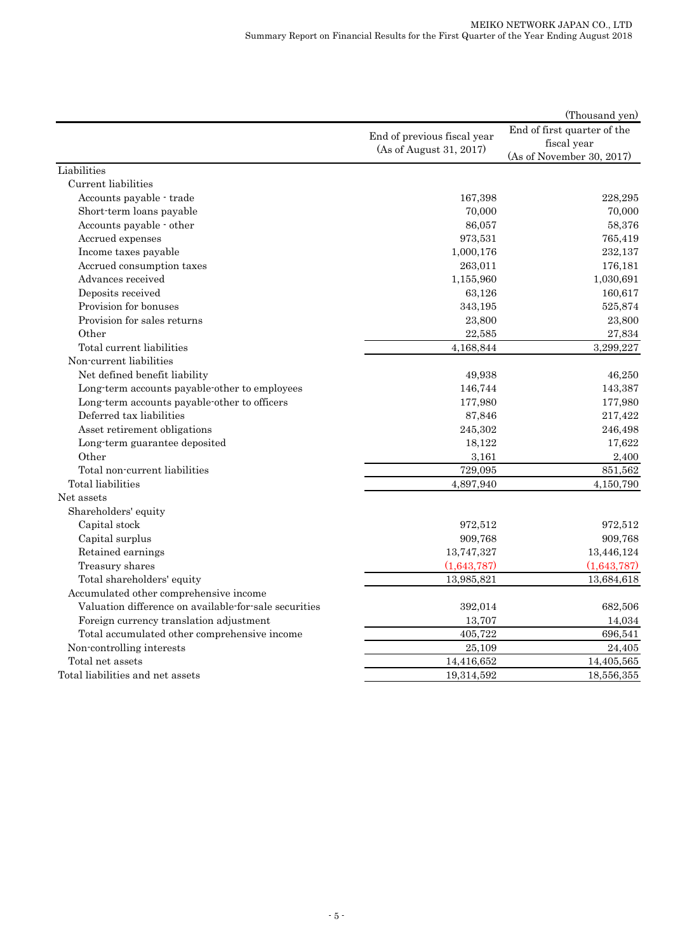|                                                       |                             | (Thousand yen)              |
|-------------------------------------------------------|-----------------------------|-----------------------------|
|                                                       | End of previous fiscal year | End of first quarter of the |
|                                                       | (As of August 31, 2017)     | fiscal year                 |
|                                                       |                             | (As of November 30, 2017)   |
| Liabilities                                           |                             |                             |
| Current liabilities                                   |                             |                             |
| Accounts payable - trade                              | 167,398                     | 228,295                     |
| Short-term loans payable                              | 70,000                      | 70,000                      |
| Accounts payable - other                              | 86,057                      | 58,376                      |
| Accrued expenses                                      | 973,531                     | 765,419                     |
| Income taxes payable                                  | 1,000,176                   | 232,137                     |
| Accrued consumption taxes                             | 263,011                     | 176,181                     |
| Advances received                                     | 1,155,960                   | 1,030,691                   |
| Deposits received                                     | 63,126                      | 160,617                     |
| Provision for bonuses                                 | 343,195                     | 525,874                     |
| Provision for sales returns                           | 23,800                      | 23,800                      |
| Other                                                 | 22,585                      | 27,834                      |
| Total current liabilities                             | 4,168,844                   | 3,299,227                   |
| Non-current liabilities                               |                             |                             |
| Net defined benefit liability                         | 49,938                      | 46,250                      |
| Long-term accounts payable-other to employees         | 146,744                     | 143,387                     |
| Long-term accounts payable-other to officers          | 177,980                     | 177,980                     |
| Deferred tax liabilities                              | 87,846                      | 217,422                     |
| Asset retirement obligations                          | 245,302                     | 246,498                     |
| Long-term guarantee deposited                         | 18,122                      | 17,622                      |
| Other                                                 | 3,161                       | 2,400                       |
| Total non-current liabilities                         | 729,095                     | 851,562                     |
| Total liabilities                                     | 4,897,940                   | 4,150,790                   |
| Net assets                                            |                             |                             |
| Shareholders' equity                                  |                             |                             |
| Capital stock                                         | 972,512                     | 972,512                     |
| Capital surplus                                       | 909,768                     | 909,768                     |
| Retained earnings                                     | 13,747,327                  | 13,446,124                  |
| Treasury shares                                       | (1,643,787)                 | (1,643,787)                 |
| Total shareholders' equity                            | 13,985,821                  | 13,684,618                  |
| Accumulated other comprehensive income                |                             |                             |
| Valuation difference on available-for-sale securities | 392,014                     | 682,506                     |
| Foreign currency translation adjustment               | 13,707                      | 14,034                      |
| Total accumulated other comprehensive income          | 405,722                     | 696,541                     |
| Non-controlling interests                             | 25,109                      | 24,405                      |
| Total net assets                                      | 14,416,652                  | 14,405,565                  |
| Total liabilities and net assets                      | 19,314,592                  | 18,556,355                  |
|                                                       |                             |                             |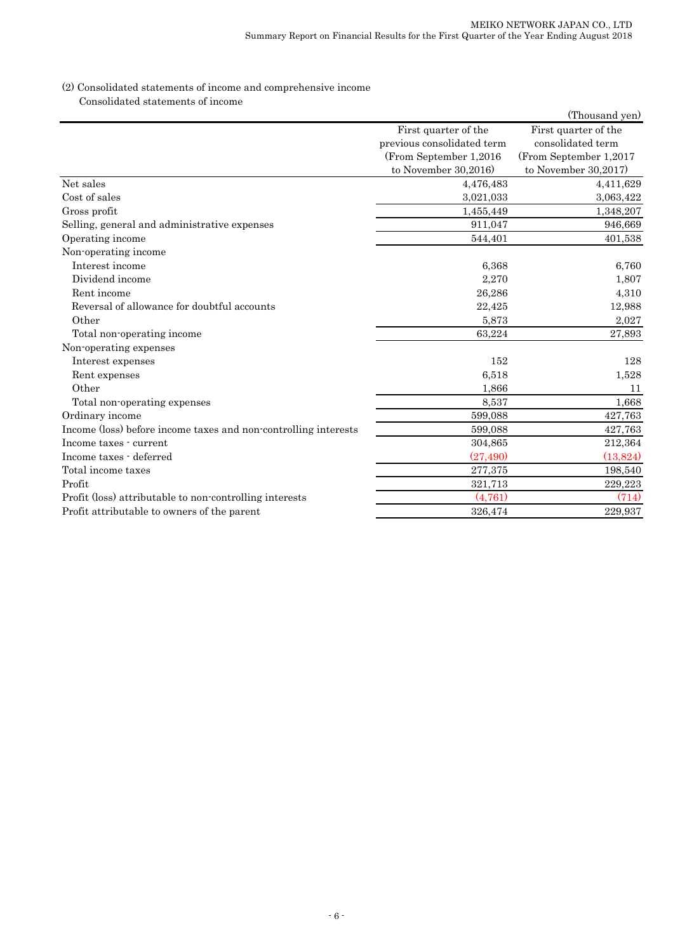### (2) Consolidated statements of income and comprehensive income Consolidated statements of income

|                                                                 |                            | (Thousand yen)         |
|-----------------------------------------------------------------|----------------------------|------------------------|
|                                                                 | First quarter of the       | First quarter of the   |
|                                                                 | previous consolidated term | consolidated term      |
|                                                                 | (From September 1,2016)    | (From September 1,2017 |
|                                                                 | to November 30,2016)       | to November 30,2017)   |
| Net sales                                                       | 4,476,483                  | 4,411,629              |
| Cost of sales                                                   | 3,021,033                  | 3,063,422              |
| Gross profit                                                    | 1,455,449                  | 1,348,207              |
| Selling, general and administrative expenses                    | 911,047                    | 946,669                |
| Operating income                                                | 544,401                    | 401,538                |
| Non-operating income                                            |                            |                        |
| Interest income                                                 | 6,368                      | 6,760                  |
| Dividend income                                                 | 2,270                      | 1,807                  |
| Rent income                                                     | 26,286                     | 4,310                  |
| Reversal of allowance for doubtful accounts                     | 22,425                     | 12,988                 |
| Other                                                           | 5,873                      | 2,027                  |
| Total non-operating income                                      | 63,224                     | 27,893                 |
| Non-operating expenses                                          |                            |                        |
| Interest expenses                                               | 152                        | 128                    |
| Rent expenses                                                   | 6,518                      | 1,528                  |
| Other                                                           | 1,866                      | 11                     |
| Total non-operating expenses                                    | 8,537                      | 1,668                  |
| Ordinary income                                                 | 599,088                    | 427,763                |
| Income (loss) before income taxes and non-controlling interests | 599,088                    | 427,763                |
| Income taxes - current                                          | 304,865                    | 212,364                |
| Income taxes - deferred                                         | (27, 490)                  | (13,824)               |
| Total income taxes                                              | 277,375                    | 198,540                |
| Profit                                                          | 321,713                    | 229,223                |
| Profit (loss) attributable to non-controlling interests         | (4,761)                    | (714)                  |
| Profit attributable to owners of the parent                     | 326,474                    | 229,937                |
|                                                                 |                            |                        |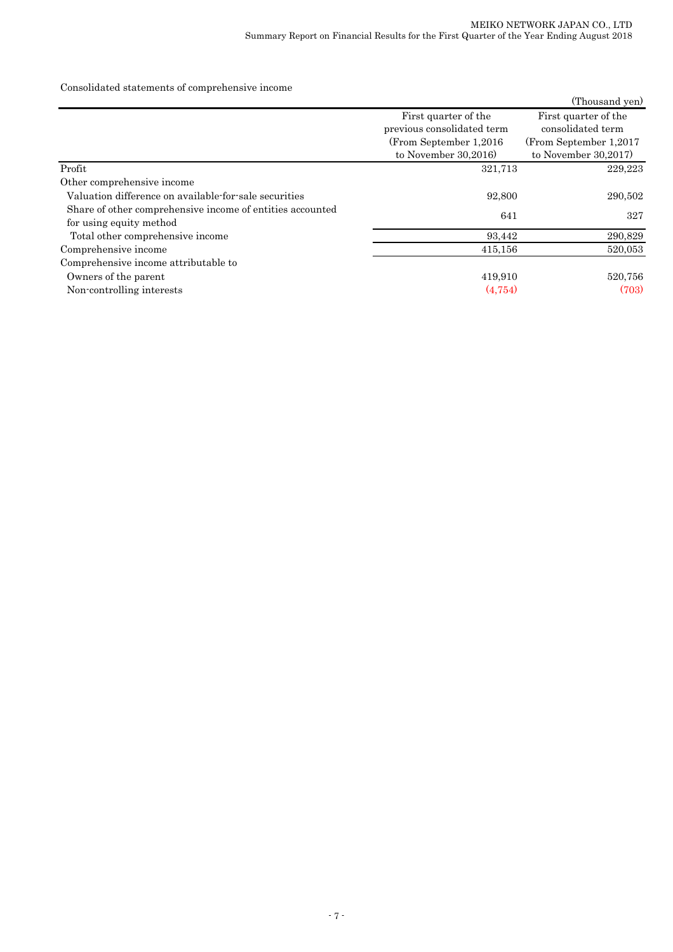Consolidated statements of comprehensive income

|                                                           |                            | (Thousand yen)          |
|-----------------------------------------------------------|----------------------------|-------------------------|
|                                                           | First quarter of the       | First quarter of the    |
|                                                           | previous consolidated term | consolidated term       |
|                                                           | (From September 1,2016)    | (From September 1,2017) |
|                                                           | to November $30,2016$      | to November $30,2017$   |
| Profit                                                    | 321,713                    | 229,223                 |
| Other comprehensive income                                |                            |                         |
| Valuation difference on available-for-sale securities     | 92,800                     | 290,502                 |
| Share of other comprehensive income of entities accounted | 641                        | 327                     |
| for using equity method                                   |                            |                         |
| Total other comprehensive income                          | 93,442                     | 290,829                 |
| Comprehensive income                                      | 415,156                    | 520,053                 |
| Comprehensive income attributable to                      |                            |                         |
| Owners of the parent                                      | 419,910                    | 520,756                 |
| Non-controlling interests                                 | (4,754)                    | (703)                   |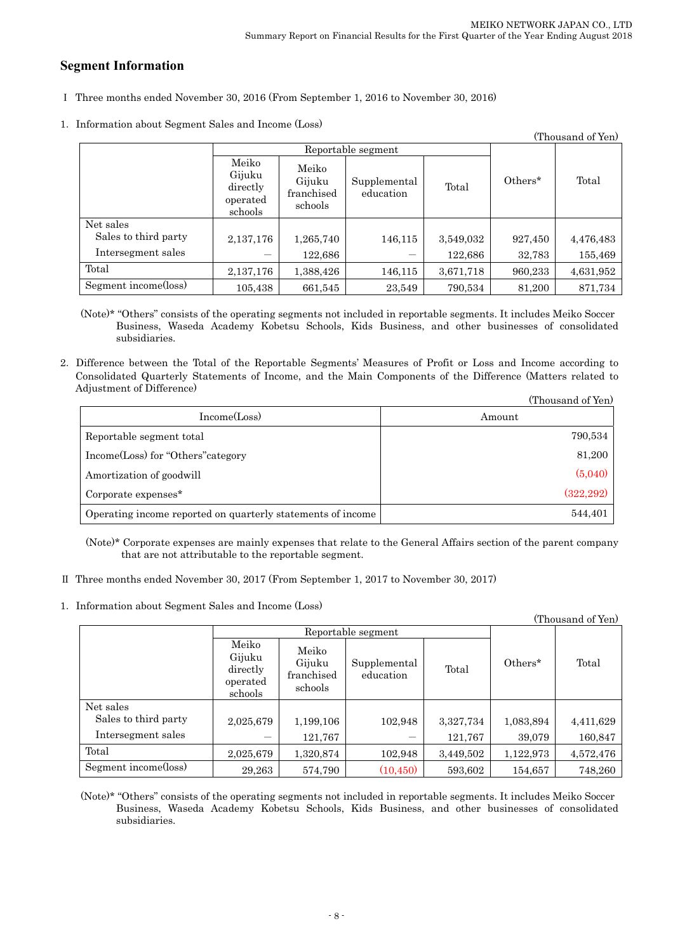# **Segment Information**

- Ⅰ Three months ended November 30, 2016 (From September 1, 2016 to November 30, 2016)
- 1.Information about Segment Sales and Income (Loss)

| (Thousand of Yen)    |                                                    |                                          |                           |           |         |           |
|----------------------|----------------------------------------------------|------------------------------------------|---------------------------|-----------|---------|-----------|
|                      | Reportable segment                                 |                                          |                           |           |         |           |
|                      | Meiko<br>Gijuku<br>directly<br>operated<br>schools | Meiko<br>Gijuku<br>franchised<br>schools | Supplemental<br>education | Total     | Others* | Total     |
| Net sales            |                                                    |                                          |                           |           |         |           |
| Sales to third party | 2,137,176                                          | 1,265,740                                | 146,115                   | 3,549,032 | 927,450 | 4,476,483 |
| Intersegment sales   |                                                    | 122,686                                  |                           | 122,686   | 32,783  | 155,469   |
| Total                | 2,137,176                                          | 1,388,426                                | 146,115                   | 3,671,718 | 960,233 | 4,631,952 |
| Segment income(loss) | 105,438                                            | 661,545                                  | 23,549                    | 790,534   | 81,200  | 871,734   |

(Note)\* "Others" consists of the operating segments not included in reportable segments. It includes Meiko Soccer Business, Waseda Academy Kobetsu Schools, Kids Business, and other businesses of consolidated subsidiaries.

2.Difference between the Total of the Reportable Segments' Measures of Profit or Loss and Income according to Consolidated Quarterly Statements of Income, and the Main Components of the Difference (Matters related to Adjustment of Difference)  $(T<sub>1</sub>)$   $(T<sub>2</sub>)$ 

|                                                             | (Thousand of Yen) |
|-------------------------------------------------------------|-------------------|
| Income(Loss)                                                | Amount            |
| Reportable segment total                                    | 790,534           |
| Income(Loss) for "Others" category                          | 81,200            |
| Amortization of goodwill                                    | (5,040)           |
| Corporate expenses*                                         | (322, 292)        |
| Operating income reported on quarterly statements of income | 544,401           |

(Note)\* Corporate expenses are mainly expenses that relate to the General Affairs section of the parent company that are not attributable to the reportable segment.

- Ⅱ Three months ended November 30, 2017 (From September 1, 2017 to November 30, 2017)
- 1.Information about Segment Sales and Income (Loss)

| (Thousand of Yen)    |                                                    |                                          |                           |           |           |           |
|----------------------|----------------------------------------------------|------------------------------------------|---------------------------|-----------|-----------|-----------|
|                      | Reportable segment                                 |                                          |                           |           |           |           |
|                      | Meiko<br>Gijuku<br>directly<br>operated<br>schools | Meiko<br>Gijuku<br>franchised<br>schools | Supplemental<br>education | Total     | Others*   | Total     |
| Net sales            |                                                    |                                          |                           |           |           |           |
| Sales to third party | 2,025,679                                          | 1,199,106                                | 102,948                   | 3,327,734 | 1,083,894 | 4,411,629 |
| Intersegment sales   |                                                    | 121,767                                  |                           | 121,767   | 39,079    | 160,847   |
| Total                | 2,025,679                                          | 1,320,874                                | 102,948                   | 3,449,502 | 1,122,973 | 4,572,476 |
| Segment income(loss) | 29,263                                             | 574,790                                  | (10, 450)                 | 593,602   | 154,657   | 748,260   |

(Note)\* "Others" consists of the operating segments not included in reportable segments. It includes Meiko Soccer Business, Waseda Academy Kobetsu Schools, Kids Business, and other businesses of consolidated subsidiaries.